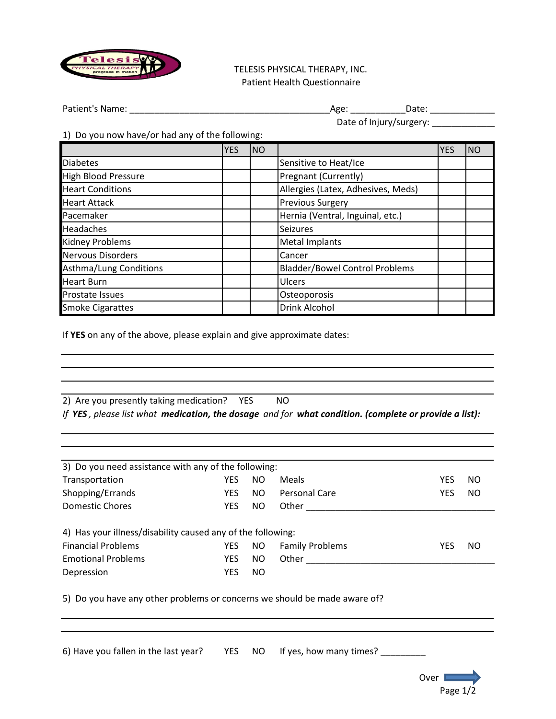

 TELESIS PHYSICAL THERAPY, INC. Patient Health Questionnaire

Patient's Name: \_\_\_\_\_\_\_\_\_\_\_\_\_\_\_\_\_\_\_\_\_\_\_\_\_\_\_\_\_\_\_\_\_\_\_\_\_\_\_\_Age: \_\_\_\_\_\_\_\_\_\_\_Date: \_\_\_\_\_\_\_\_\_\_\_\_\_

| Date: |
|-------|
|       |

Date of Injury/surgery: \_\_\_\_\_\_\_\_\_\_\_\_\_

1) Do you now have/or had any of the following:

|                            | <b>YES</b> | <b>NO</b> |                                       | <b>YES</b> | <b>NO</b> |
|----------------------------|------------|-----------|---------------------------------------|------------|-----------|
| <b>Diabetes</b>            |            |           | Sensitive to Heat/Ice                 |            |           |
| <b>High Blood Pressure</b> |            |           | Pregnant (Currently)                  |            |           |
| <b>Heart Conditions</b>    |            |           | Allergies (Latex, Adhesives, Meds)    |            |           |
| <b>Heart Attack</b>        |            |           | <b>Previous Surgery</b>               |            |           |
| Pacemaker                  |            |           | Hernia (Ventral, Inguinal, etc.)      |            |           |
| <b>Headaches</b>           |            |           | <b>Seizures</b>                       |            |           |
| Kidney Problems            |            |           | <b>Metal Implants</b>                 |            |           |
| <b>Nervous Disorders</b>   |            |           | Cancer                                |            |           |
| Asthma/Lung Conditions     |            |           | <b>Bladder/Bowel Control Problems</b> |            |           |
| <b>Heart Burn</b>          |            |           | Ulcers                                |            |           |
| Prostate Issues            |            |           | Osteoporosis                          |            |           |
| <b>Smoke Cigarattes</b>    |            |           | Drink Alcohol                         |            |           |

If **YES** on any of the above, please explain and give approximate dates:

| 2) Are you presently taking medication? YES |  |                                                                                                       |
|---------------------------------------------|--|-------------------------------------------------------------------------------------------------------|
|                                             |  | If YES, please list what medication, the dosage and for what condition. (complete or provide a list): |

| 3) Do you need assistance with any of the following:        |            |     |                        |     |     |  |  |
|-------------------------------------------------------------|------------|-----|------------------------|-----|-----|--|--|
| Transportation                                              | YES        | NO  | Meals                  | YES | NO. |  |  |
| Shopping/Errands                                            | <b>YES</b> | NO. | Personal Care          | YES | NO. |  |  |
| Domestic Chores                                             | YES.       | NO. | Other                  |     |     |  |  |
| 4) Has your illness/disability caused any of the following: |            |     |                        |     |     |  |  |
| <b>Financial Problems</b>                                   | <b>YES</b> | NO. | <b>Family Problems</b> | YES | NO  |  |  |
| <b>Emotional Problems</b>                                   | <b>YES</b> | NO. | Other                  |     |     |  |  |
| Depression                                                  | <b>YES</b> | NO. |                        |     |     |  |  |
|                                                             |            |     |                        |     |     |  |  |

5) Do you have any other problems or concerns we should be made aware of?

6) Have you fallen in the last year? YES NO If yes, how many times? \_\_\_\_\_\_\_\_\_\_